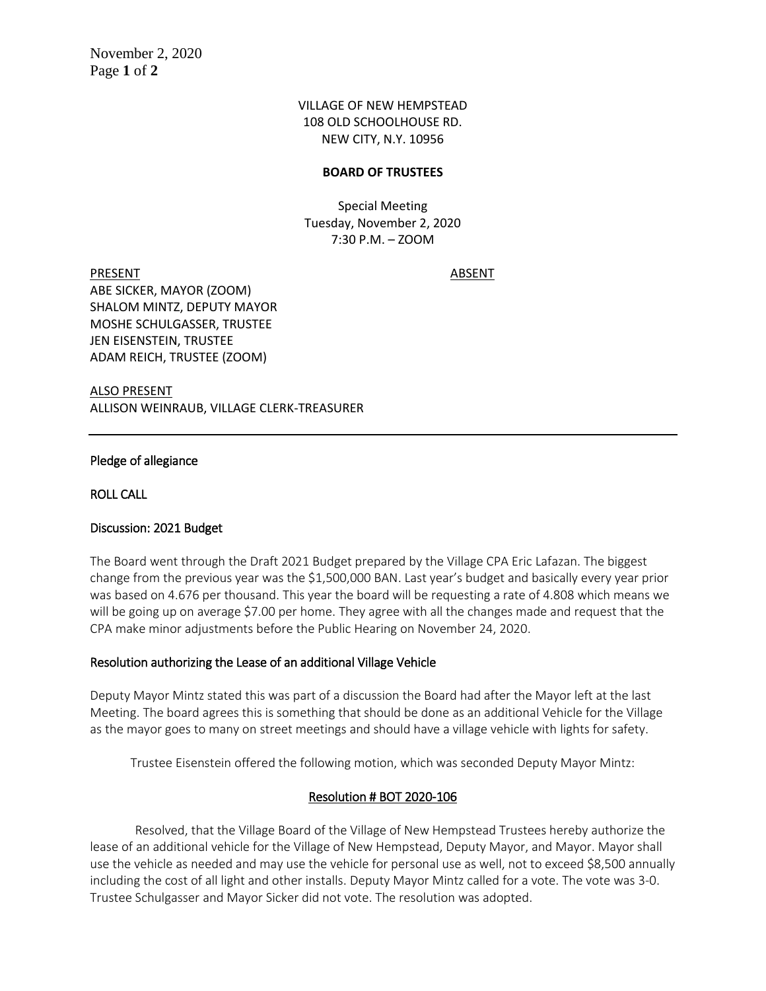## VILLAGE OF NEW HEMPSTEAD 108 OLD SCHOOLHOUSE RD. NEW CITY, N.Y. 10956

### **BOARD OF TRUSTEES**

Special Meeting Tuesday, November 2, 2020 7:30 P.M. – ZOOM

PRESENT ABSENT ABE SICKER, MAYOR (ZOOM) SHALOM MINTZ, DEPUTY MAYOR MOSHE SCHULGASSER, TRUSTEE JEN EISENSTEIN, TRUSTEE ADAM REICH, TRUSTEE (ZOOM)

ALSO PRESENT ALLISON WEINRAUB, VILLAGE CLERK-TREASURER

#### Pledge of allegiance

ROLL CALL

## Discussion: 2021 Budget

The Board went through the Draft 2021 Budget prepared by the Village CPA Eric Lafazan. The biggest change from the previous year was the \$1,500,000 BAN. Last year's budget and basically every year prior was based on 4.676 per thousand. This year the board will be requesting a rate of 4.808 which means we will be going up on average \$7.00 per home. They agree with all the changes made and request that the CPA make minor adjustments before the Public Hearing on November 24, 2020.

#### Resolution authorizing the Lease of an additional Village Vehicle

Deputy Mayor Mintz stated this was part of a discussion the Board had after the Mayor left at the last Meeting. The board agrees this is something that should be done as an additional Vehicle for the Village as the mayor goes to many on street meetings and should have a village vehicle with lights for safety.

Trustee Eisenstein offered the following motion, which was seconded Deputy Mayor Mintz:

## Resolution # BOT 2020-106

Resolved, that the Village Board of the Village of New Hempstead Trustees hereby authorize the lease of an additional vehicle for the Village of New Hempstead, Deputy Mayor, and Mayor. Mayor shall use the vehicle as needed and may use the vehicle for personal use as well, not to exceed \$8,500 annually including the cost of all light and other installs. Deputy Mayor Mintz called for a vote. The vote was 3-0. Trustee Schulgasser and Mayor Sicker did not vote. The resolution was adopted.